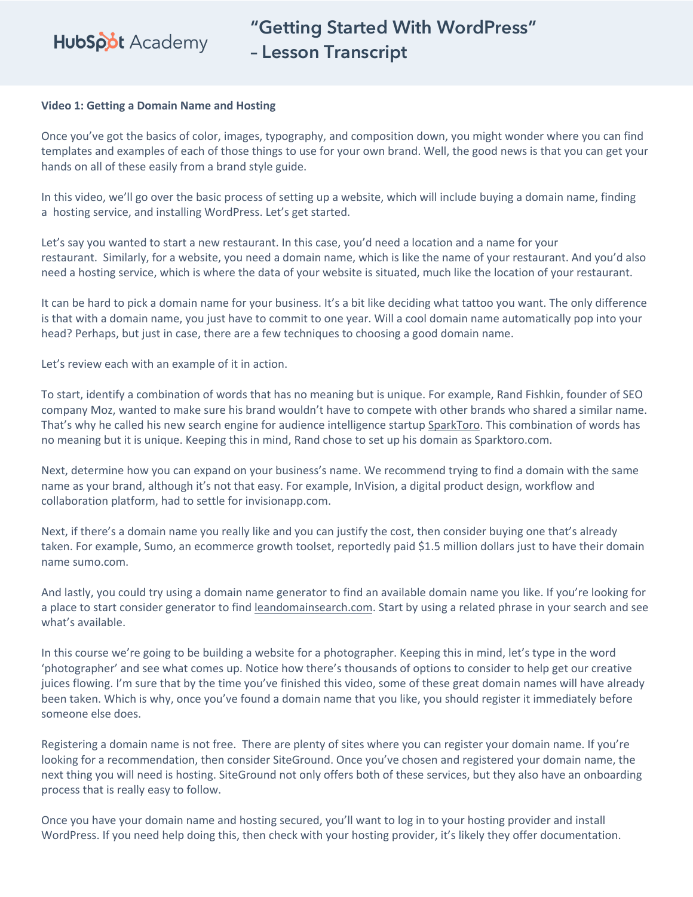HubSpot Academy

**"Getting Started With WordPress" – Lesson Transcript**

## **Video 1: Getting a Domain Name and Hosting**

Once you've got the basics of color, images, typography, and composition down, you might wonder where you can find templates and examples of each of those things to use for your own brand. Well, the good news is that you can get your hands on all of these easily from a brand style guide.

In this video, we'll go over the basic process of setting up a website, which will include buying a domain name, finding a hosting service, and installing WordPress. Let's get started.

Let's say you wanted to start a new restaurant. In this case, you'd need a location and a name for your restaurant. Similarly, for a website, you need a domain name, which is like the name of your restaurant. And you'd also need a hosting service, which is where the data of your website is situated, much like the location of your restaurant.

It can be hard to pick a domain name for your business. It's a bit like deciding what tattoo you want. The only difference is that with a domain name, you just have to commit to one year. Will a cool domain name automatically pop into your head? Perhaps, but just in case, there are a few techniques to choosing a good domain name.

Let's review each with an example of it in action.

To start, identify a combination of words that has no meaning but is unique. For example, Rand Fishkin, founder of SEO company Moz, wanted to make sure his brand wouldn't have to compete with other brands who shared a similar name. That's why he called his new search engine for audience intelligence startup SparkToro. This combination of words has no meaning but it is unique. Keeping this in mind, Rand chose to set up his domain as Sparktoro.com.

Next, determine how you can expand on your business's name. We recommend trying to find a domain with the same name as your brand, although it's not that easy. For example, InVision, a digital product design, workflow and collaboration platform, had to settle for invisionapp.com.

Next, if there's a domain name you really like and you can justify the cost, then consider buying one that's already taken. For example, Sumo, an ecommerce growth toolset, reportedly paid \$1.5 million dollars just to have their domain name sumo.com.

And lastly, you could try using a domain name generator to find an available domain name you like. If you're looking for a place to start consider generator to find leandomainsearch.com. Start by using a related phrase in your search and see what's available.

In this course we're going to be building a website for a photographer. Keeping this in mind, let's type in the word 'photographer' and see what comes up. Notice how there's thousands of options to consider to help get our creative juices flowing. I'm sure that by the time you've finished this video, some of these great domain names will have already been taken. Which is why, once you've found a domain name that you like, you should register it immediately before someone else does.

Registering a domain name is not free. There are plenty of sites where you can register your domain name. If you're looking for a recommendation, then consider SiteGround. Once you've chosen and registered your domain name, the next thing you will need is hosting. SiteGround not only offers both of these services, but they also have an onboarding process that is really easy to follow.

Once you have your domain name and hosting secured, you'll want to log in to your hosting provider and install WordPress. If you need help doing this, then check with your hosting provider, it's likely they offer documentation.